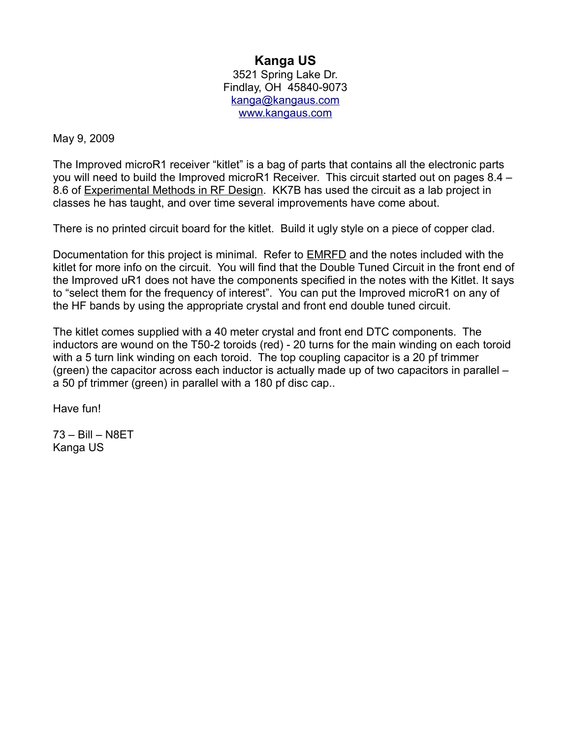## **Kanga US**

3521 Spring Lake Dr. Findlay, OH 45840-9073 [kanga@kangaus.com](mailto:kanga@kangaus.com) [www.kangaus.com](http://www.kangaus.com/)

## May 9, 2009

The Improved microR1 receiver "kitlet" is a bag of parts that contains all the electronic parts you will need to build the Improved microR1 Receiver. This circuit started out on pages 8.4 – 8.6 of Experimental Methods in RF Design. KK7B has used the circuit as a lab project in classes he has taught, and over time several improvements have come about.

There is no printed circuit board for the kitlet. Build it ugly style on a piece of copper clad.

Documentation for this project is minimal. Refer to **EMRFD** and the notes included with the kitlet for more info on the circuit. You will find that the Double Tuned Circuit in the front end of the Improved uR1 does not have the components specified in the notes with the Kitlet. It says to "select them for the frequency of interest". You can put the Improved microR1 on any of the HF bands by using the appropriate crystal and front end double tuned circuit.

The kitlet comes supplied with a 40 meter crystal and front end DTC components. The inductors are wound on the T50-2 toroids (red) - 20 turns for the main winding on each toroid with a 5 turn link winding on each toroid. The top coupling capacitor is a 20 pf trimmer (green) the capacitor across each inductor is actually made up of two capacitors in parallel – a 50 pf trimmer (green) in parallel with a 180 pf disc cap..

Have fun!

73 – Bill – N8ET Kanga US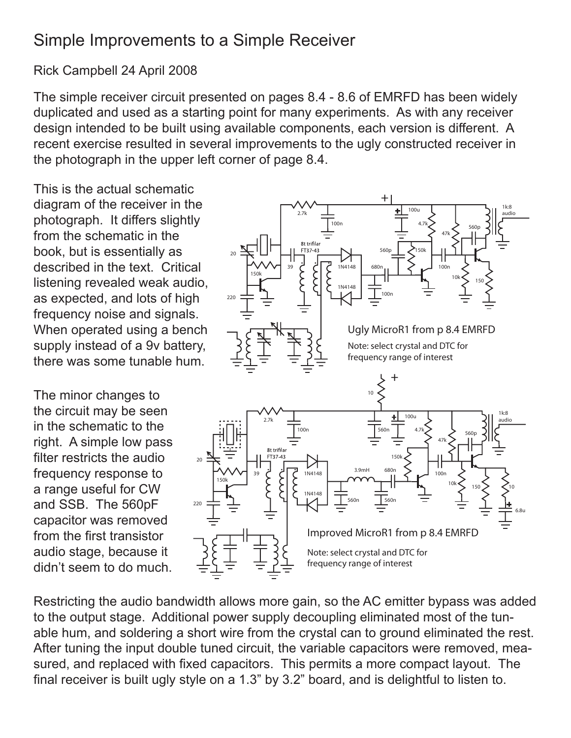## Simple Improvements to a Simple Receiver

## Rick Campbell 24 April 2008

The simple receiver circuit presented on pages 8.4 - 8.6 of EMRFD has been widely duplicated and used as a starting point for many experiments. As with any receiver design intended to be built using available components, each version is different. A recent exercise resulted in several improvements to the ugly constructed receiver in the photograph in the upper left corner of page 8.4.

This is the actual schematic diagram of the receiver in the photograph. It differs slightly from the schematic in the book, but is essentially as described in the text. Critical listening revealed weak audio, as expected, and lots of high frequency noise and signals. When operated using a bench supply instead of a 9v battery, there was some tunable hum.

The minor changes to the circuit may be seen in the schematic to the right. A simple low pass filter restricts the audio frequency response to a range useful for CW and SSB. The 560pF capacitor was removed from the first transistor audio stage, because it didn't seem to do much.



Restricting the audio bandwidth allows more gain, so the AC emitter bypass was added to the output stage. Additional power supply decoupling eliminated most of the tunable hum, and soldering a short wire from the crystal can to ground eliminated the rest. After tuning the input double tuned circuit, the variable capacitors were removed, measured, and replaced with fixed capacitors. This permits a more compact layout. The final receiver is built ugly style on a 1.3" by 3.2" board, and is delightful to listen to.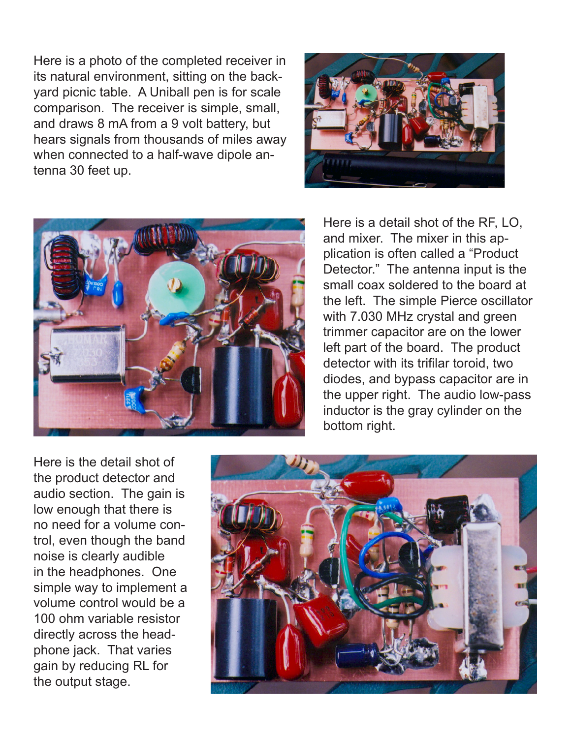Here is a photo of the completed receiver in its natural environment, sitting on the backyard picnic table. A Uniball pen is for scale comparison. The receiver is simple, small, and draws 8 mA from a 9 volt battery, but hears signals from thousands of miles away when connected to a half-wave dipole antenna 30 feet up.





Here is a detail shot of the RF, LO, and mixer. The mixer in this application is often called a "Product Detector." The antenna input is the small coax soldered to the board at the left. The simple Pierce oscillator with 7.030 MHz crystal and green trimmer capacitor are on the lower left part of the board. The product detector with its trifilar toroid, two diodes, and bypass capacitor are in the upper right. The audio low-pass inductor is the gray cylinder on the bottom right.

Here is the detail shot of the product detector and audio section. The gain is low enough that there is no need for a volume control, even though the band noise is clearly audible in the headphones. One simple way to implement a volume control would be a 100 ohm variable resistor directly across the headphone jack. That varies gain by reducing RL for the output stage.